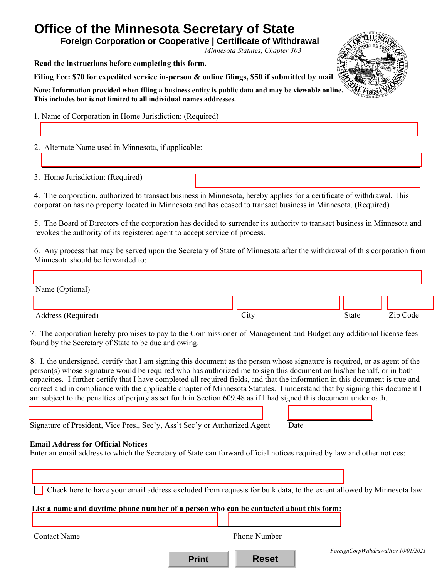# **Office of the Minnesota Secretary of State**

**Foreign Corporation or Cooperative | Certificate of Withdrawal**

*Minnesota Statutes, Chapter 303* 

**Read the instructions before completing this form.** 

**Filing Fee: \$70 for expedited service in-person & online filings, \$50 if submitted by mail**

**Note: Information provided when filing a business entity is public data and may be viewable online. This includes but is not limited to all individual names addresses.** 

1. Name of Corporation in Home Jurisdiction: (Required)

2. Alternate Name used in Minnesota, if applicable:

3. Home Jurisdiction: (Required)

4. The corporation, authorized to transact business in Minnesota, hereby applies for a certificate of withdrawal. This corporation has no property located in Minnesota and has ceased to transact business in Minnesota. (Required)

5. The Board of Directors of the corporation has decided to surrender its authority to transact business in Minnesota and revokes the authority of its registered agent to accept service of process.

6. Any process that may be served upon the Secretary of State of Minnesota after the withdrawal of this corporation from Minnesota should be forwarded to:

Address (Required) and State Zip Code City City State Zip Code Name (Optional)

7. The corporation hereby promises to pay to the Commissioner of Management and Budget any additional license fees found by the Secretary of State to be due and owing.

8. I, the undersigned, certify that I am signing this document as the person whose signature is required, or as agent of the person(s) whose signature would be required who has authorized me to sign this document on his/her behalf, or in both capacities. I further certify that I have completed all required fields, and that the information in this document is true and correct and in compliance with the applicable chapter of Minnesota Statutes. I understand that by signing this document I am subject to the penalties of perjury as set forth in Section 609.48 as if I had signed this document under oath.

Signature of President, Vice Pres., Sec'y, Ass't Sec'y or Authorized Agent Date

# **Email Address for Official Notices**

Enter an email address to which the Secretary of State can forward official notices required by law and other notices:

| Check here to have your email address excluded from requests for bulk data, to the extent allowed by Minnesota law.<br>List a name and daytime phone number of a person who can be contacted about this form: |                     |                                     |
|---------------------------------------------------------------------------------------------------------------------------------------------------------------------------------------------------------------|---------------------|-------------------------------------|
| <b>Contact Name</b>                                                                                                                                                                                           | <b>Phone Number</b> | ForeignCorpWithdrawalRev.10/01/2021 |



**Print Reset**